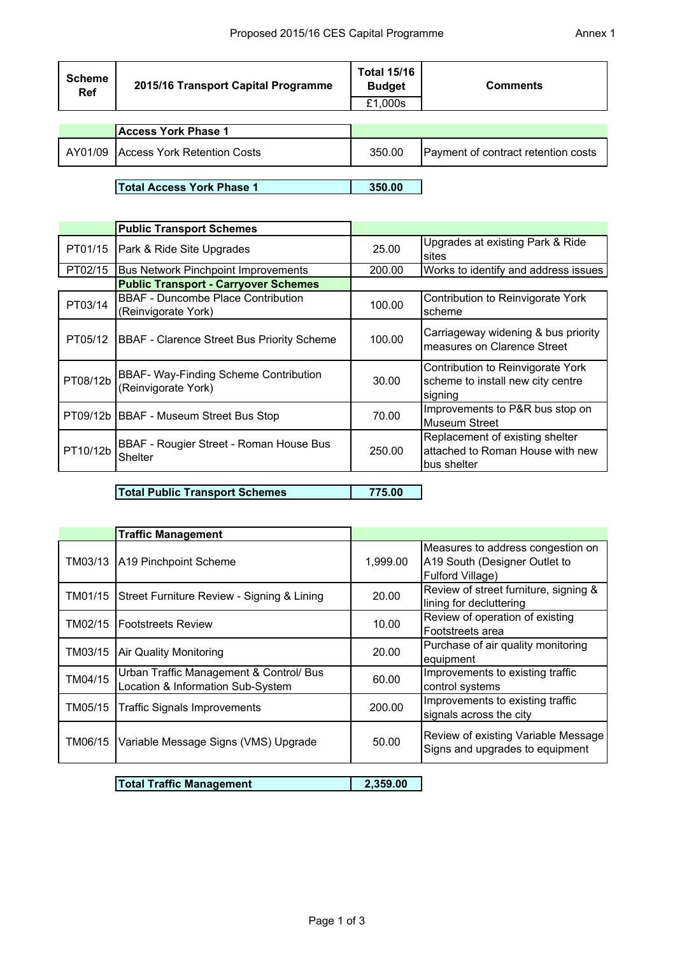| <b>Scheme</b><br>Ref | 2015/16 Transport Capital Programme | <b>Total 15/16</b><br><b>Budget</b><br>£1,000s | <b>Comments</b>                     |
|----------------------|-------------------------------------|------------------------------------------------|-------------------------------------|
|                      | <b>Access York Phase 1</b>          |                                                |                                     |
| AY01/09              | <b>Access York Retention Costs</b>  | 350.00                                         | Payment of contract retention costs |
|                      |                                     |                                                |                                     |

**Total Access York Phase 1 350.00**

|          | <b>Public Transport Schemes</b>                                  |        |                                                                                    |
|----------|------------------------------------------------------------------|--------|------------------------------------------------------------------------------------|
| PT01/15  | Park & Ride Site Upgrades                                        | 25.00  | Upgrades at existing Park & Ride<br>sites                                          |
| PT02/15  | <b>Bus Network Pinchpoint Improvements</b>                       | 200.00 | Works to identify and address issues                                               |
|          | <b>Public Transport - Carryover Schemes</b>                      |        |                                                                                    |
| PT03/14  | <b>BBAF - Duncombe Place Contribution</b><br>(Reinvigorate York) | 100.00 | Contribution to Reinvigorate York<br>scheme                                        |
|          | PT05/12   BBAF - Clarence Street Bus Priority Scheme             | 100.00 | Carriageway widening & bus priority<br>measures on Clarence Street                 |
| PT08/12b | BBAF- Way-Finding Scheme Contribution<br>(Reinvigorate York)     | 30.00  | Contribution to Reinvigorate York<br>scheme to install new city centre<br>signing  |
|          | PT09/12b   BBAF - Museum Street Bus Stop                         | 70.00  | Improvements to P&R bus stop on<br><b>Museum Street</b>                            |
| PT10/12b | BBAF - Rougier Street - Roman House Bus<br><b>Shelter</b>        | 250.00 | Replacement of existing shelter<br>attached to Roman House with new<br>bus shelter |

**Total Public Transport Schemes 775.00**

|         | <b>Traffic Management</b>                                                    |          |                                                                                        |
|---------|------------------------------------------------------------------------------|----------|----------------------------------------------------------------------------------------|
| TM03/13 | A19 Pinchpoint Scheme                                                        | 1,999.00 | Measures to address congestion on<br>A19 South (Designer Outlet to<br>Fulford Village) |
| TM01/15 | Street Furniture Review - Signing & Lining                                   | 20.00    | Review of street furniture, signing &<br>lining for decluttering                       |
| TM02/15 | <b>IFootstreets Review</b>                                                   | 10.00    | Review of operation of existing<br>Footstreets area                                    |
| TM03/15 | Air Quality Monitoring                                                       | 20.00    | Purchase of air quality monitoring<br>equipment                                        |
| TM04/15 | Urban Traffic Management & Control/ Bus<br>Location & Information Sub-System | 60.00    | Improvements to existing traffic<br>control systems                                    |
| TM05/15 | <b>Traffic Signals Improvements</b>                                          | 200.00   | Improvements to existing traffic<br>signals across the city                            |
| TM06/15 | Variable Message Signs (VMS) Upgrade                                         | 50.00    | Review of existing Variable Message<br>Signs and upgrades to equipment                 |

**Total Traffic Management 2,359.00**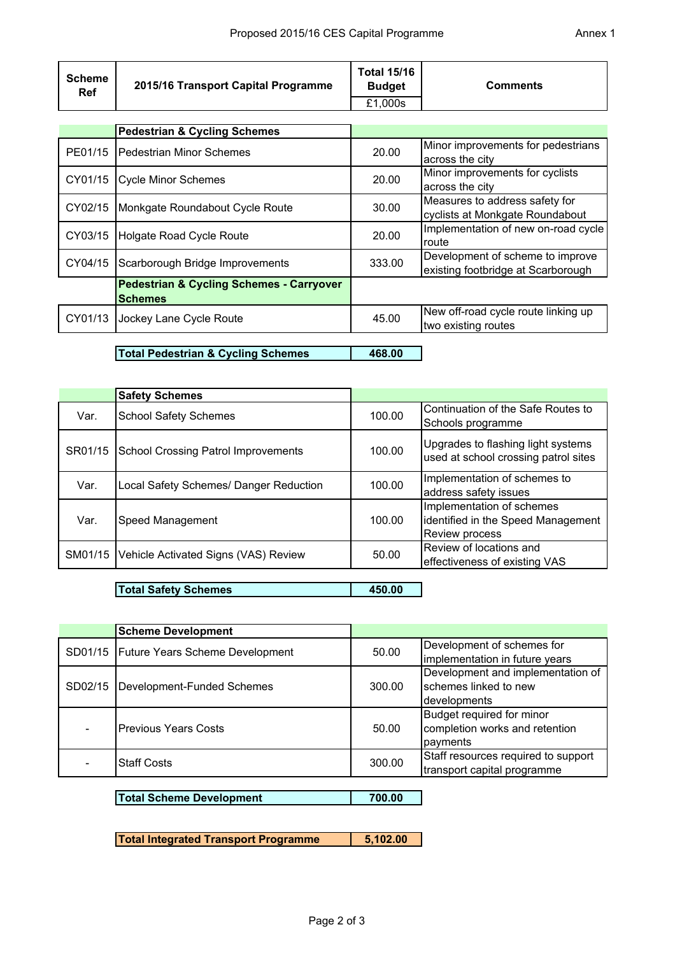| 2015/16 Transport Capital Programme                                   | <b>Total 15/16</b><br><b>Budget</b>     | <b>Comments</b>                                                        |
|-----------------------------------------------------------------------|-----------------------------------------|------------------------------------------------------------------------|
|                                                                       |                                         |                                                                        |
|                                                                       |                                         |                                                                        |
| <b>IPedestrian Minor Schemes</b>                                      | 20.00                                   | Minor improvements for pedestrians<br>across the city                  |
| Cycle Minor Schemes                                                   | 20.00                                   | Minor improvements for cyclists<br>across the city                     |
| Monkgate Roundabout Cycle Route                                       | 30.00                                   | Measures to address safety for<br>cyclists at Monkgate Roundabout      |
| Holgate Road Cycle Route                                              | 20.00                                   | Implementation of new on-road cycle<br><b>route</b>                    |
| Scarborough Bridge Improvements                                       | 333.00                                  | Development of scheme to improve<br>existing footbridge at Scarborough |
| <b>Pedestrian &amp; Cycling Schemes - Carryover</b><br><b>Schemes</b> |                                         |                                                                        |
| Jockey Lane Cycle Route                                               | 45.00                                   | New off-road cycle route linking up<br>two existing routes             |
|                                                                       | <b>Pedestrian &amp; Cycling Schemes</b> | £1,000s                                                                |

**Total Pedestrian & Cycling Schemes 468.00**

|         | <b>Safety Schemes</b>                      |        |                                                                                          |
|---------|--------------------------------------------|--------|------------------------------------------------------------------------------------------|
| Var.    | <b>School Safety Schemes</b>               | 100.00 | Continuation of the Safe Routes to<br>Schools programme                                  |
| SR01/15 | <b>School Crossing Patrol Improvements</b> | 100.00 | Upgrades to flashing light systems<br>used at school crossing patrol sites               |
| Var.    | Local Safety Schemes/ Danger Reduction     | 100.00 | Implementation of schemes to<br>address safety issues                                    |
| Var.    | Speed Management                           | 100.00 | Implementation of schemes<br>identified in the Speed Management<br><b>Review process</b> |
| SM01/15 | Vehicle Activated Signs (VAS) Review       | 50.00  | Review of locations and<br>effectiveness of existing VAS                                 |

**Total Safety Schemes 450.00**

|                                           | <b>Scheme Development</b>   |                            |                                     |
|-------------------------------------------|-----------------------------|----------------------------|-------------------------------------|
| SD01/15   Future Years Scheme Development | 50.00                       | Development of schemes for |                                     |
|                                           |                             |                            | implementation in future years      |
|                                           |                             |                            | Development and implementation of   |
| SD02/15                                   | Development-Funded Schemes  | 300.00                     | schemes linked to new               |
|                                           |                             |                            | developments                        |
|                                           |                             |                            | Budget required for minor           |
|                                           | <b>Previous Years Costs</b> | 50.00                      | completion works and retention      |
|                                           |                             |                            | payments                            |
|                                           | <b>Staff Costs</b>          | 300.00                     | Staff resources required to support |
|                                           |                             |                            | transport capital programme         |

**Total Scheme Development 700.00**

**Total Integrated Transport Programme 5,102.00**